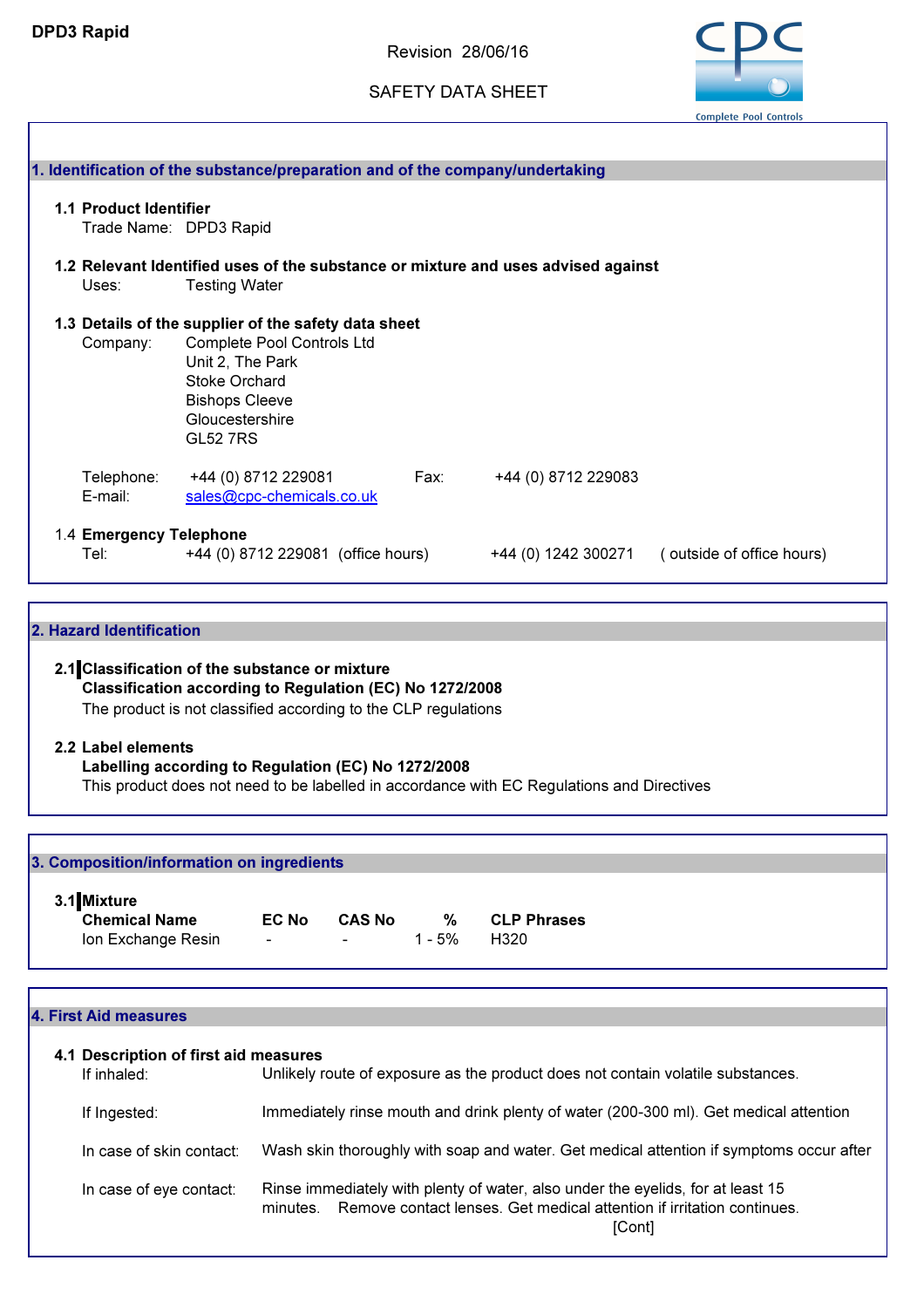Revision 28/06/16

SAFETY DATA SHEET



| Uses:                           | 1.2 Relevant Identified uses of the substance or mixture and uses advised against<br><b>Testing Water</b>                                                                                     |      |                     |                                               |
|---------------------------------|-----------------------------------------------------------------------------------------------------------------------------------------------------------------------------------------------|------|---------------------|-----------------------------------------------|
| Company:                        | 1.3 Details of the supplier of the safety data sheet<br>Complete Pool Controls Ltd<br>Unit 2, The Park<br><b>Stoke Orchard</b><br><b>Bishops Cleeve</b><br>Gloucestershire<br><b>GL52 7RS</b> |      |                     |                                               |
| Telephone:<br>E-mail:           | +44 (0) 8712 229081<br>sales@cpc-chemicals.co.uk                                                                                                                                              | Fax: | +44 (0) 8712 229083 |                                               |
| 1.4 Emergency Telephone<br>Tel: | +44 (0) 8712 229081 (office hours)                                                                                                                                                            |      |                     | +44 (0) 1242 300271 (outside of office hours) |

Classification according to Regulation (EC) No 1272/2008 The product is not classified according to the CLP regulations

#### 2.2 Label elements

Labelling according to Regulation (EC) No 1272/2008

This product does not need to be labelled in accordance with EC Regulations and Directives

| 3.1 Mixture          |                                                              |               |        |                    |  |
|----------------------|--------------------------------------------------------------|---------------|--------|--------------------|--|
| <b>Chemical Name</b> | EC No                                                        | <b>CAS No</b> | %      | <b>CLP Phrases</b> |  |
| Ion Exchange Resin   | $\Delta \phi$ and $\phi$ and $\Delta \phi$ and $\Delta \phi$ |               | 1 - 5% | H320               |  |

| 4.1 Description of first aid measures<br>If inhaled: | Unlikely route of exposure as the product does not contain volatile substances.                                                                                                |
|------------------------------------------------------|--------------------------------------------------------------------------------------------------------------------------------------------------------------------------------|
| If Ingested:                                         | Immediately rinse mouth and drink plenty of water (200-300 ml). Get medical attention                                                                                          |
| In case of skin contact:                             | Wash skin thoroughly with soap and water. Get medical attention if symptoms occur after                                                                                        |
| In case of eye contact:                              | Rinse immediately with plenty of water, also under the eyelids, for at least 15<br>Remove contact lenses. Get medical attention if irritation continues.<br>minutes.<br>[Cont] |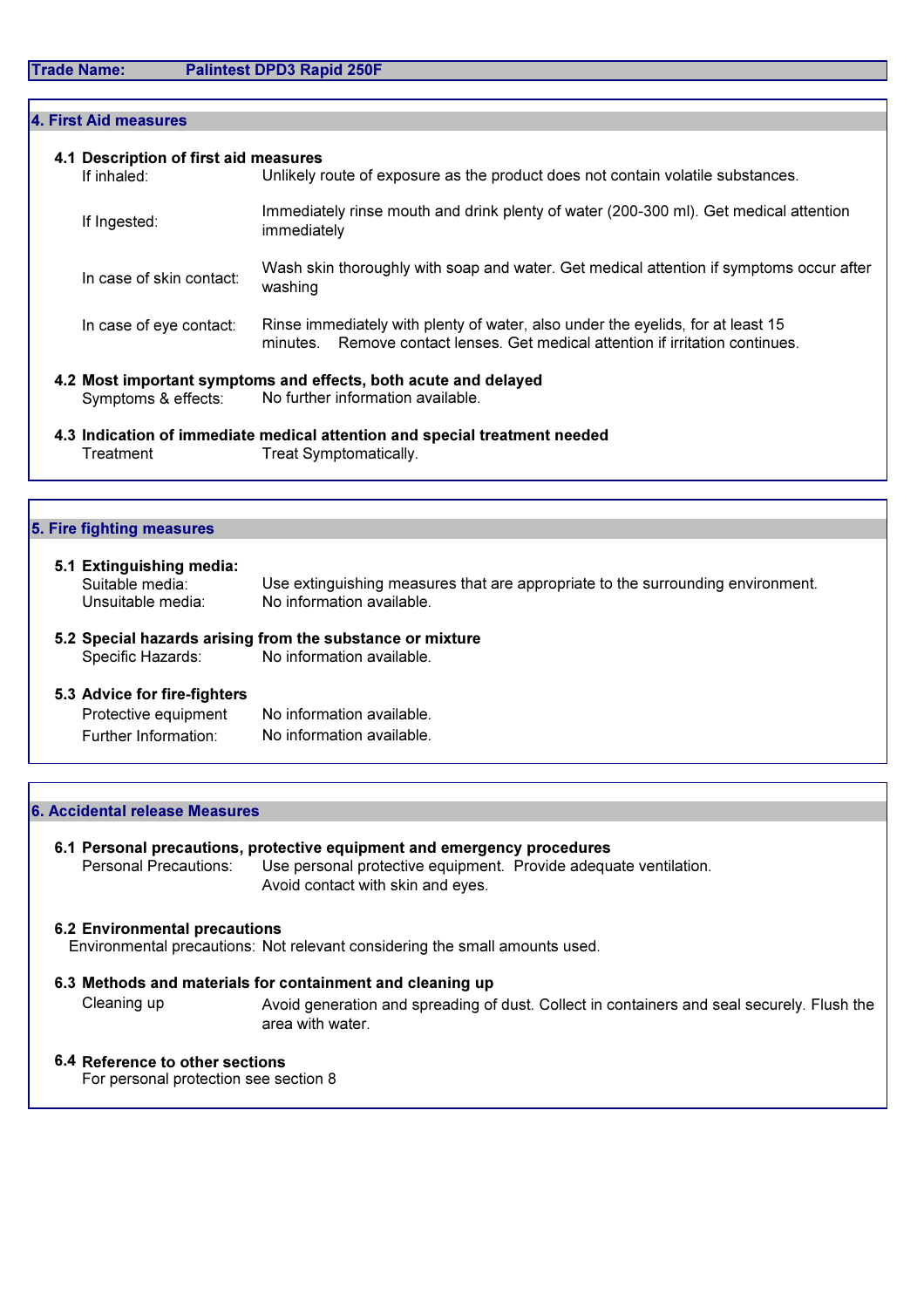| Unlikely route of exposure as the product does not contain volatile substances.<br>Immediately rinse mouth and drink plenty of water (200-300 ml). Get medical attention |
|--------------------------------------------------------------------------------------------------------------------------------------------------------------------------|
|                                                                                                                                                                          |
| immediately                                                                                                                                                              |
| Wash skin thoroughly with soap and water. Get medical attention if symptoms occur after<br>washing                                                                       |
| Rinse immediately with plenty of water, also under the eyelids, for at least 15<br>Remove contact lenses. Get medical attention if irritation continues.<br>minutes.     |
| 4.2 Most important symptoms and effects, both acute and delayed                                                                                                          |
|                                                                                                                                                                          |

Treatment Treat Symptomatically.

| 5. Fire fighting measures                                        |                                                                                                              |
|------------------------------------------------------------------|--------------------------------------------------------------------------------------------------------------|
| 5.1 Extinguishing media:<br>Suitable media:<br>Unsuitable media: | Use extinguishing measures that are appropriate to the surrounding environment.<br>No information available. |

5.2 Special hazards arising from the substance or mixture<br>Specific Hazards: No information available. No information available.

#### 5.3 Advice for fire-fighters

| Protective equipment | No information available. |
|----------------------|---------------------------|
| Further Information: | No information available. |

#### 6. Accidental release Measures

6.1 Personal precautions, protective equipment and emergency procedures<br>Personal Precautions: Use personal protective equipment. Provide adequi Use personal protective equipment. Provide adequate ventilation. Avoid contact with skin and eyes.

#### 6.2 Environmental precautions

Environmental precautions: Not relevant considering the small amounts used.

#### 6.3 Methods and materials for containment and cleaning up Cleaning up

Avoid generation and spreading of dust. Collect in containers and seal securely. Flush the area with water.

### 6.4 Reference to other sections

For personal protection see section 8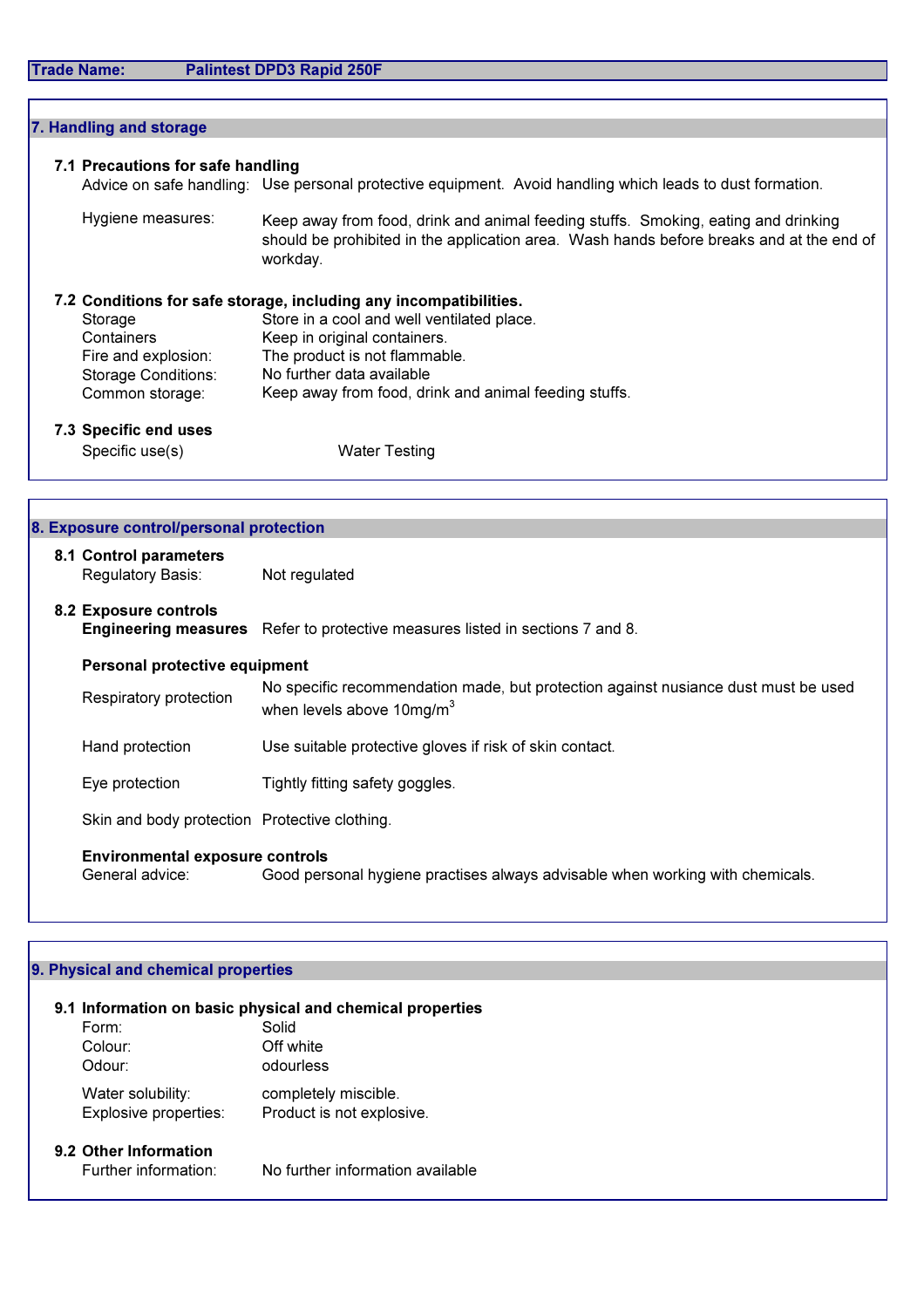| 7. Handling and storage                                                                |                                                                                                                                                                                                                                                                        |
|----------------------------------------------------------------------------------------|------------------------------------------------------------------------------------------------------------------------------------------------------------------------------------------------------------------------------------------------------------------------|
| 7.1 Precautions for safe handling                                                      | Advice on safe handling: Use personal protective equipment. Avoid handling which leads to dust formation.                                                                                                                                                              |
| Hygiene measures:                                                                      | Keep away from food, drink and animal feeding stuffs. Smoking, eating and drinking<br>should be prohibited in the application area. Wash hands before breaks and at the end of<br>workday.                                                                             |
| Storage<br>Containers<br>Fire and explosion:<br>Storage Conditions:<br>Common storage: | 7.2 Conditions for safe storage, including any incompatibilities.<br>Store in a cool and well ventilated place.<br>Keep in original containers.<br>The product is not flammable.<br>No further data available<br>Keep away from food, drink and animal feeding stuffs. |
| 7.3 Specific end uses<br>Specific use(s)                                               | <b>Water Testing</b>                                                                                                                                                                                                                                                   |
|                                                                                        |                                                                                                                                                                                                                                                                        |
| 8. Exposure control/personal protection                                                |                                                                                                                                                                                                                                                                        |
| 8.1 Control parameters<br>Regulatory Basis:                                            | Not regulated                                                                                                                                                                                                                                                          |
| 8.2 Exposure controls                                                                  | Engineering measures Refer to protective measures listed in sections 7 and 8.                                                                                                                                                                                          |
| Personal protective equipment                                                          |                                                                                                                                                                                                                                                                        |
| Respiratory protection                                                                 | No specific recommendation made, but protection against nusiance dust must be used<br>when levels above $10\text{mg/m}^3$                                                                                                                                              |
| Hand protection                                                                        | Use suitable protective gloves if risk of skin contact.                                                                                                                                                                                                                |
| Eye protection                                                                         | Tightly fitting safety goggles.                                                                                                                                                                                                                                        |
| Skin and body protection Protective clothing.                                          |                                                                                                                                                                                                                                                                        |
| <b>Environmental exposure controls</b><br>General advice:                              | Good personal hygiene practises always advisable when working with chemicals.                                                                                                                                                                                          |

## 9. Physical and chemical properties

| 9.1 Information on basic physical and chemical properties |                                  |  |  |  |  |
|-----------------------------------------------------------|----------------------------------|--|--|--|--|
| Form:                                                     | Solid                            |  |  |  |  |
| Colour:                                                   | Off white                        |  |  |  |  |
| Odour:                                                    | odourless                        |  |  |  |  |
| Water solubility:                                         | completely miscible.             |  |  |  |  |
| Explosive properties:                                     | Product is not explosive.        |  |  |  |  |
| 9.2 Other Information                                     |                                  |  |  |  |  |
| Further information:                                      | No further information available |  |  |  |  |
|                                                           |                                  |  |  |  |  |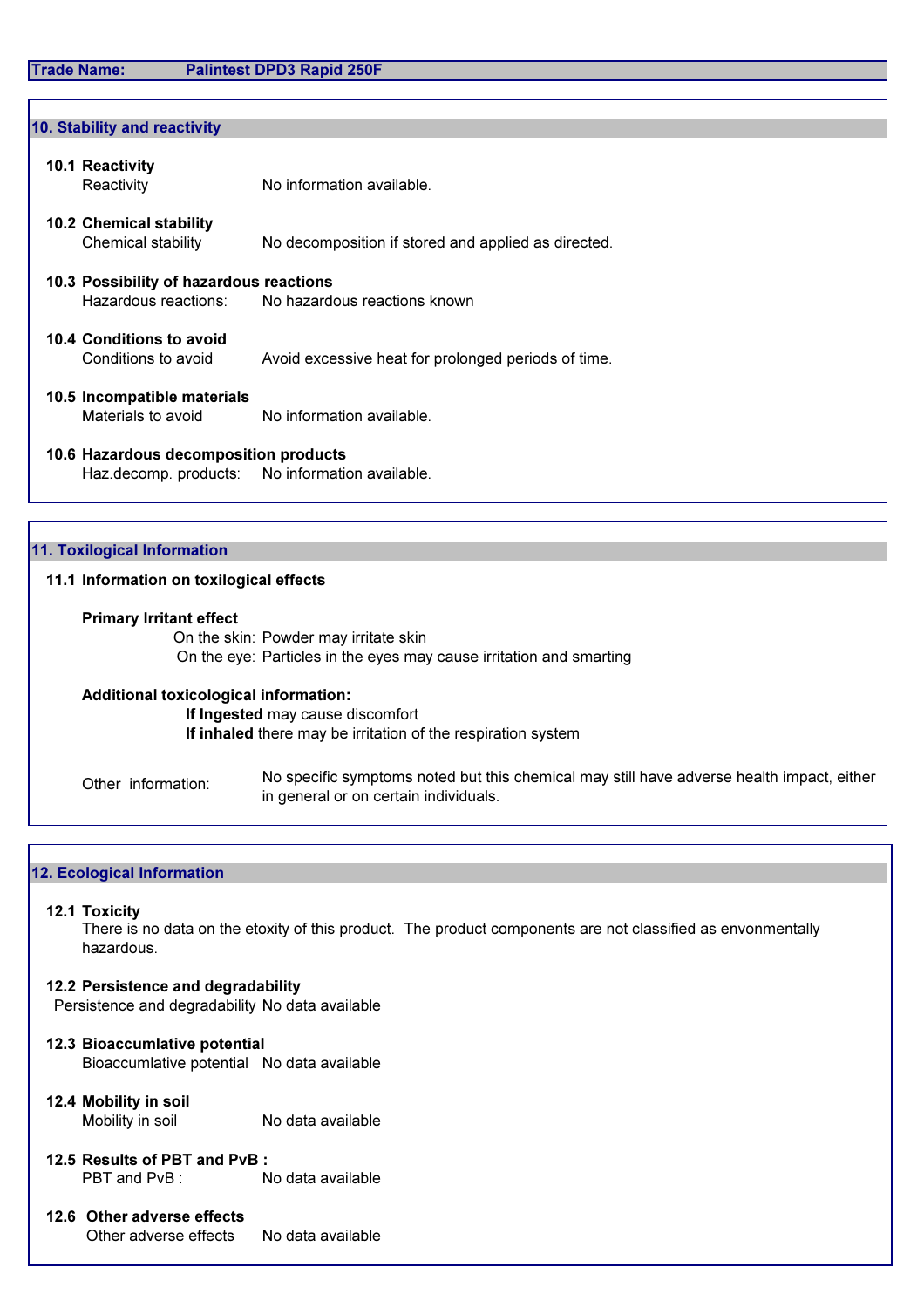#### Trade Name: Palintest DPD3 Rapid 250F

# 10.1 Reactivity Reactivity No information available. 10.2 Chemical stability Chemical stability No decomposition if stored and applied as directed. 10.3 Possibility of hazardous reactions Hazardous reactions: No hazardous reactions known 10.4 Conditions to avoid Conditions to avoid Avoid excessive heat for prolonged periods of time. 10.5 Incompatible materials Materials to avoid No information available. 10.6 Hazardous decomposition products Haz.decomp. products: No information available. 11.1 Information on toxilogical effects Primary Irritant effect On the skin: Powder may irritate skin On the eye: Particles in the eyes may cause irritation and smarting 10. Stability and reactivity 11. Toxilogical Information

Additional toxicological information:

If Ingested may cause discomfort If inhaled there may be irritation of the respiration system

Other information: No specific symptoms noted but this chemical may still have adverse health impact, either in general or on certain individuals.

#### 12. Ecological Information

#### 12.1 Toxicity

There is no data on the etoxity of this product. The product components are not classified as envonmentally hazardous.

#### 12.2 Persistence and degradability

Persistence and degradability No data available

- 12.3 Bioaccumlative potential Bioaccumlative potential No data available
- 12.4 Mobility in soil Mobility in soil No data available
- 12.5 Results of PBT and PvB : PBT and PvB : No data available
- 12.6 Other adverse effects Other adverse effects No data available